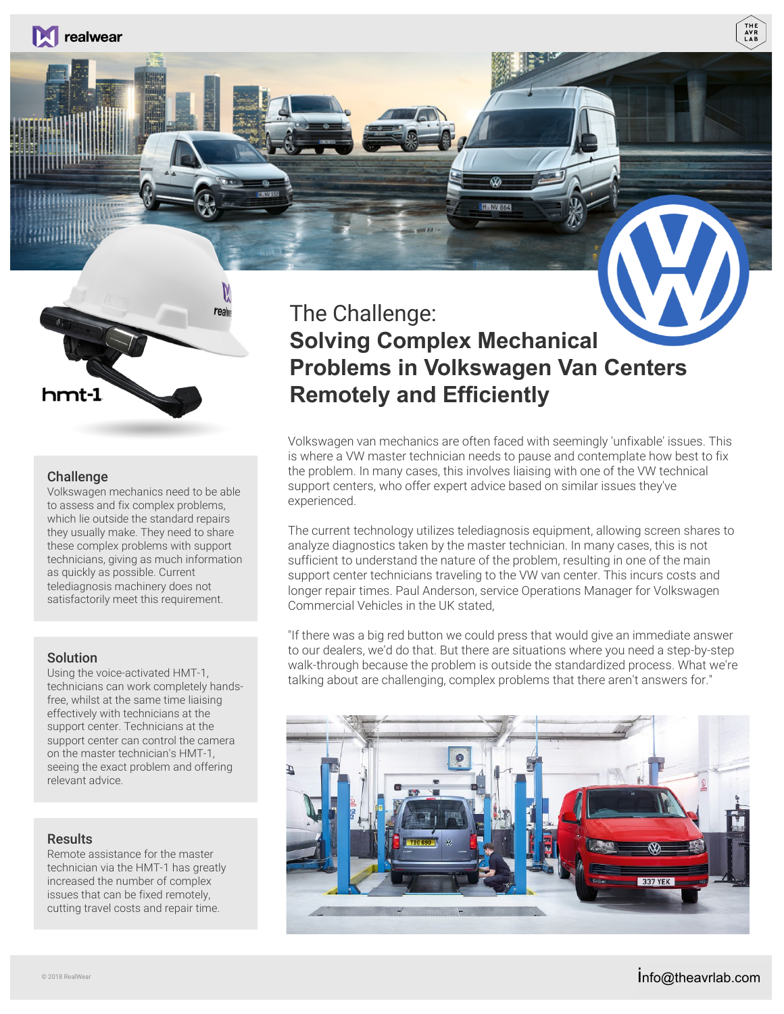

## Challenge

Volkswagen mechanics need to be able to assess and fix complex problems, which lie outside the standard repairs they usually make. They need to share these complex problems with support technicians, giving as much information as quickly as possible. Current telediagnosis machinery does not satisfactorily meet this requirement.

### Solution

Using the voice-activated HMT-1, technicians can work completely handsfree, whilst at the same time liaising effectively with technicians at the support center. Technicians at the support center can control the camera on the master technician's HMT-1, seeing the exact problem and offering relevant advice.

### **Results**

Remote assistance for the master technician via the HMT-1 has greatly increased the number of complex issues that can be fixed remotely, cutting travel costs and repair time.

The Challenge: **Solving Complex Mechanical Problems in Volkswagen Van Centers Remotely and Efficiently**

**H. NV 864** 

Volkswagen van mechanics are often faced with seemingly 'unfixable' issues. This is where a VW master technician needs to pause and contemplate how best to fix the problem. In many cases, this involves liaising with one of the VW technical support centers, who offer expert advice based on similar issues they've experienced.

The current technology utilizes telediagnosis equipment, allowing screen shares to analyze diagnostics taken by the master technician. In many cases, this is not sufficient to understand the nature of the problem, resulting in one of the main support center technicians traveling to the VW van center. This incurs costs and longer repair times. Paul Anderson, service Operations Manager for Volkswagen Commercial Vehicles in the UK stated,

"If there was a big red button we could press that would give an immediate answer to our dealers, we'd do that. But there are situations where you need a step-by-step walk-through because the problem is outside the standardized process. What we're talking about are challenging, complex problems that there aren't answers for."